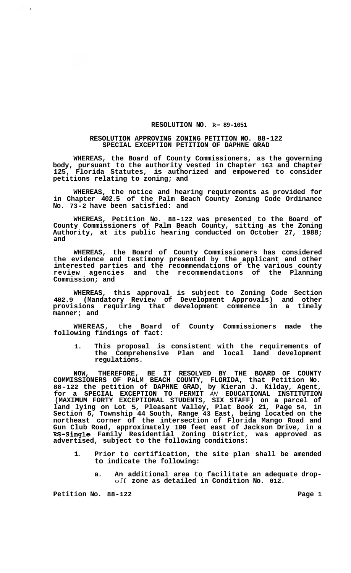## **RESOLUTION NO. R- 89-1051**

## **RESOLUTION APPROVING ZONING PETITION NO. 88-122 SPECIAL EXCEPTION PETITION OF DAPHNE GRAD**

**WHEREAS, the Board of County Commissioners, as the governing body, pursuant to the authority vested in Chapter 163 and Chapter 125, Florida Statutes, is authorized and empowered to consider petitions relating to zoning; and** 

**WHEREAS, the notice and hearing requirements as provided for in Chapter 402.5 of the Palm Beach County Zoning Code Ordinance No. 73-2 have been satisfied: and** 

**WHEREAS, Petition No. 88-122 was presented to the Board of County Commissioners of Palm Beach County, sitting as the Zoning Authority, at its public hearing conducted on October 27, 1988; and** 

**WHEREAS, the Board of County Commissioners has considered the evidence and testimony presented by the applicant and other interested parties and the recommendations of the various county review agencies and the recommendations of the Planning Commission; and** 

**WHEREAS, this approval is subject to Zoning Code Section 402.9 (Mandatory Review of Development Approvals) and other provisions requiring that development commence in a timely manner; and** 

**WHEREAS, the Board of County Commissioners made the following findings of fact:** 

**1. This proposal is consistent with the requirements of the Comprehensive Plan and local land development regulations.** 

**NOW, THEREFORE, BE IT RESOLVED BY THE BOARD OF COUNTY COMMISSIONERS OF PALM BEACH COUNTY, FLORIDA, that Petition No. 88-122 the petition of DAPHNE GRAD, by Kieran J. Kilday, Agent, for a SPECIAL EXCEPTION TO PERMIT** *AN* **EDUCATIONAL INSTITUTION (MAXIMUM FORTY EXCEPTIONAL STUDENTS, SIX STAFF) on a parcel of land lying on Lot 5, Pleasant Valley, Plat Book 21, Page 54, in Section 5, Township 44 South, Range 43 East, being located on the northeast corner of the intersection of Florida Mango Road and Gun Club Road, approximately 100 feet east of Jackson Drive, in a RS-Single Family Residential Zoning District, was approved as advertised, subject to the following conditions:** 

- **1. Prior to certification, the site plan shall be amended to indicate the following:** 
	- **a. An additional area to facilitate an adequate drop-** off **zone as detailed in Condition No. 012.**

**Petition No. 88-122 Page 1** 

 $\epsilon_{\rm{max}}$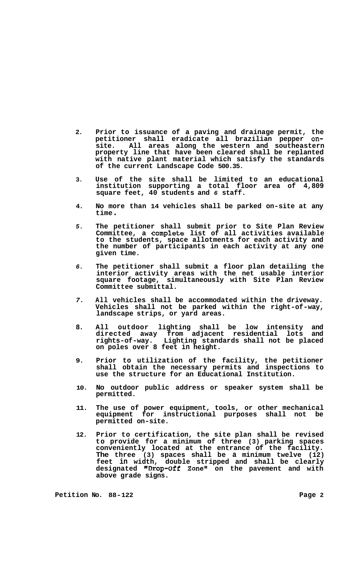- **2. Prior to issuance of a paving and drainage permit, the petitioner shall eradicate all brazilian pepper onsite. All areas along the western and southeastern property line that have been cleared shall be replanted with native plant material which satisfy the standards of the current Landscape Code 500.35.**
- **3. Use of the site shall be limited to an educational institution supporting a total floor area of 4,809 square feet, 40 students and** *6* **staff.**
- **4. No more than 14 vehicles shall be parked on-site at any time** .
- *5.*  **The petitioner shall submit prior to Site Plan Review Committee, a complete list of all activities available to the students, space allotments for each activity and the number of participants in each activity at any one given time.**
- *6.*  **The petitioner shall submit a floor plan detailing the interior activity areas with the net usable interior square footage, simultaneously with Site Plan Review Committee submittal.**
- *7.*  **All vehicles shall be accommodated within the driveway. Vehicles shall not be parked within the right-of-way, landscape strips, or yard areas.**
- **8. All outdoor lighting shall be low intensity and directed away from adjacent residential lots and rights-of-way. Lighting standards shall not be placed on poles over 8 feet in height.**
- **9. Prior to utilization of the facility, the petitioner shall obtain the necessary permits and inspections to use the structure for an Educational Institution.**
- **10. No outdoor public address or speaker system shall be permitted.**
- **11. The use of power equipment, tools, or other mechanical equipment for instructional purposes shall not be permitted on-site.**
- **12. Prior to certification, the site plan shall be revised to provide for a minimum of three (3) parking spaces conveniently located at the entrance of the facility. The three (3) spaces shall be a minimum twelve (12) feet in width, double stripped and shall be clearly designated "Drop-off Zone" on the pavement and with above grade signs.**

**Petition No.** 88-122 **Page 2 Page 2**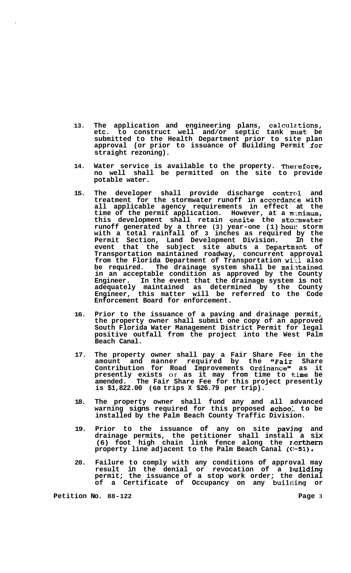- **13. The application and engineering plans, calculz.tions, etc. to construct well and/or septic tank must be submitted to the Health Department prior to site plan approval (or prior to issuance of Building Permit for straight rezoning).**
- **14.**  Water service is available to the property. Therefore, **no well shall be permitted on the site to provide potable water.**
- **15. The developer shall provide discharge contrcll and**  treatment for the stormwater runoff in accordance with **all applicable agency requirements in effect at the time of the permit application. However, at a m:inimum, this development shall retain onsite the stormwater**  runoff generated by a three (3) year-one (1) hou: storm **with a total rainfall of 3 inches as required by the Permit Section, Land Development Division. In the**  event that the subject site abuts a Department of **Transportation maintained roadway, concurrent approval**  from the Florida Department of Transportation will also be required. The drainage system shall be maintained **in an acceptable condition as approved by the County Engineer. In the event that the drainage system is not adequately maintained as determined by the County Engineer, this matter will be referred to the Code Enforcement Board for enforcement.**
- **16. Prior to the issuance of a paving and drainage permit, the property owner shall submit one copy of an approved South Florida Water Management District Permit for legal positive outfall from the project into the West Palm Beach Canal.**
- **17. The property owner shall pay a Fair Share Fee in the**  amount and manner required by the "Fair Share **Contribution for Road Improvements Ordinance1' as it presently exists** or **as it may from time to time be amended. The Fair Share Fee for this project presently is \$1,822.00 (68 trips X \$26.79 per trip).**
- **18. The property owner shall fund any and all advanced warning signs required for this proposed schoo:. to be installed by the Palm Beach County Traffic Division.**
- **19. Prior to the issuance of any on site paving and drainage permits, the petitioner shall install a six (6) foot high chain link fence along the northern property line adjacent to the Palm Beach Canal (C!-51)**
- **20. Failure to comply with any conditions of approval may result in the denial or revocation of a huilding permit; the issuance of a stop work order; the denial of a Certificate of Occupancy on any builcling or**

**Petition No. 88-122 Page 3**